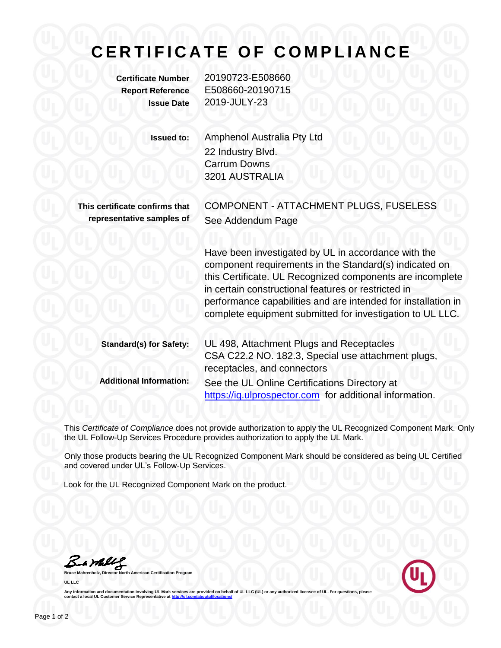## **C E R T I F I C A T E O F C O M P L I A N C E**

**Certificate Number** 20190723-E508660 **Report Reference** E508660-20190715 **Issue Date** 2019-JULY-23

**Issued to:** Amphenol Australia Pty Ltd 22 Industry Blvd. Carrum Downs 3201 AUSTRALIA **This certificate confirms that representative samples of** COMPONENT - ATTACHMENT PLUGS, FUSELESS See Addendum Page Have been investigated by UL in accordance with the component requirements in the Standard(s) indicated on this Certificate. UL Recognized components are incomplete

> in certain constructional features or restricted in performance capabilities and are intended for installation in complete equipment submitted for investigation to UL LLC.

| <b>Standard(s) for Safety:</b> | UL 498, Attachment Plugs and Receptacles                |
|--------------------------------|---------------------------------------------------------|
|                                | CSA C22.2 NO. 182.3, Special use attachment plugs,      |
|                                | receptacles, and connectors                             |
| <b>Additional Information:</b> | See the UL Online Certifications Directory at           |
|                                | https://iq.ulprospector.com for additional information. |

This *Certificate of Compliance* does not provide authorization to apply the UL Recognized Component Mark. Only the UL Follow-Up Services Procedure provides authorization to apply the UL Mark.

Only those products bearing the UL Recognized Component Mark should be considered as being UL Certified and covered under UL's Follow-Up Services.

Look for the UL Recognized Component Mark on the product.

Bambly

**Bruce Mannest Certification Program UL LLC**



Any information and documentation involving UL Mark services are provided on behalf of UL LLC (UL) or any authorized licensee of UL. For questions, please<br>contact a local UL Customer Service Representative at <u>http://ul.co</u>